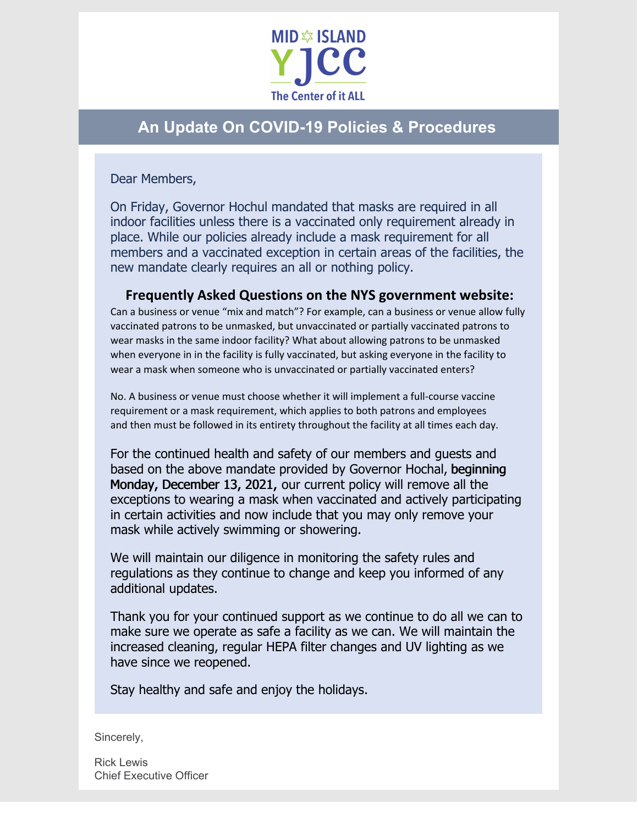

## **An Update On COVID-19 Policies & Procedures**

Dear Members,

On Friday, Governor Hochul mandated that masks are required in all indoor facilities unless there is a vaccinated only requirement already in place. While our policies already include a mask requirement for all members and a vaccinated exception in certain areas of the facilities, the new mandate clearly requires an all or nothing policy.

## **Frequently Asked Questions on the NYS government website:**

Can a business or venue "mix and match"? For example, can a business or venue allow fully vaccinated patrons to be unmasked, but unvaccinated or partially vaccinated patrons to wear masks in the same indoor facility? What about allowing patrons to be unmasked when everyone in in the facility is fully vaccinated, but asking everyone in the facility to wear a mask when someone who is unvaccinated or partially vaccinated enters?

No. A business or venue must choose whether it will implement a full-course vaccine requirement or a mask requirement, which applies to both patrons and employees and then must be followed in its entirety throughout the facility at all times each day.

For the continued health and safety of our members and guests and based on the above mandate provided by Governor Hochal, beginning Monday, December 13, 2021, our current policy will remove all the exceptions to wearing a mask when vaccinated and actively participating in certain activities and now include that you may only remove your mask while actively swimming or showering.

We will maintain our diligence in monitoring the safety rules and regulations as they continue to change and keep you informed of any additional updates.

Thank you for your continued support as we continue to do all we can to make sure we operate as safe a facility as we can. We will maintain the increased cleaning, regular HEPA filter changes and UV lighting as we have since we reopened.

Stay healthy and safe and enjoy the holidays.

Sincerely,

Rick Lewis Chief Executive Officer